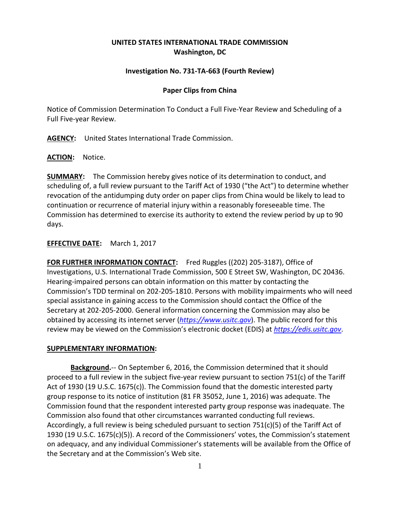# **UNITED STATES INTERNATIONAL TRADE COMMISSION Washington, DC**

## **Investigation No. 731-TA-663 (Fourth Review)**

#### **Paper Clips from China**

Notice of Commission Determination To Conduct a Full Five-Year Review and Scheduling of a Full Five-year Review.

**AGENCY:** United States International Trade Commission.

**ACTION:** Notice.

**SUMMARY:** The Commission hereby gives notice of its determination to conduct, and scheduling of, a full review pursuant to the Tariff Act of 1930 ("the Act") to determine whether revocation of the antidumping duty order on paper clips from China would be likely to lead to continuation or recurrence of material injury within a reasonably foreseeable time. The Commission has determined to exercise its authority to extend the review period by up to 90 days.

### **EFFECTIVE DATE:** March 1, 2017

**FOR FURTHER INFORMATION CONTACT:** Fred Ruggles ((202) 205-3187), Office of Investigations, U.S. International Trade Commission, 500 E Street SW, Washington, DC 20436. Hearing-impaired persons can obtain information on this matter by contacting the Commission's TDD terminal on 202-205-1810. Persons with mobility impairments who will need special assistance in gaining access to the Commission should contact the Office of the Secretary at 202-205-2000. General information concerning the Commission may also be obtained by accessing its internet server (*[https://www.usitc.gov](https://www.usitc.gov/)*). The public record for this review may be viewed on the Commission's electronic docket (EDIS) at *[https://edis.usitc.gov](https://edis.usitc.gov/)*.

#### **SUPPLEMENTARY INFORMATION:**

**Background.**-- On September 6, 2016, the Commission determined that it should proceed to a full review in the subject five-year review pursuant to section 751(c) of the Tariff Act of 1930 (19 U.S.C. 1675(c)). The Commission found that the domestic interested party group response to its notice of institution (81 FR 35052, June 1, 2016) was adequate. The Commission found that the respondent interested party group response was inadequate. The Commission also found that other circumstances warranted conducting full reviews. Accordingly, a full review is being scheduled pursuant to section 751(c)(5) of the Tariff Act of 1930 (19 U.S.C. 1675(c)(5)). A record of the Commissioners' votes, the Commission's statement on adequacy, and any individual Commissioner's statements will be available from the Office of the Secretary and at the Commission's Web site.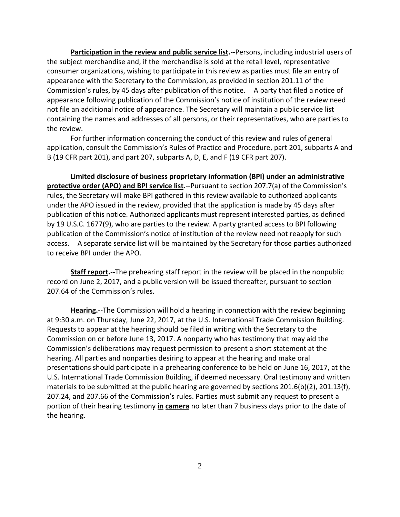**Participation in the review and public service list.**--Persons, including industrial users of the subject merchandise and, if the merchandise is sold at the retail level, representative consumer organizations, wishing to participate in this review as parties must file an entry of appearance with the Secretary to the Commission, as provided in section 201.11 of the Commission's rules, by 45 days after publication of this notice. A party that filed a notice of appearance following publication of the Commission's notice of institution of the review need not file an additional notice of appearance. The Secretary will maintain a public service list containing the names and addresses of all persons, or their representatives, who are parties to the review.

For further information concerning the conduct of this review and rules of general application, consult the Commission's Rules of Practice and Procedure, part 201, subparts A and B (19 CFR part 201), and part 207, subparts A, D, E, and F (19 CFR part 207).

**Limited disclosure of business proprietary information (BPI) under an administrative protective order (APO) and BPI service list.**--Pursuant to section 207.7(a) of the Commission's rules, the Secretary will make BPI gathered in this review available to authorized applicants under the APO issued in the review, provided that the application is made by 45 days after publication of this notice. Authorized applicants must represent interested parties, as defined by 19 U.S.C. 1677(9), who are parties to the review. A party granted access to BPI following publication of the Commission's notice of institution of the review need not reapply for such access. A separate service list will be maintained by the Secretary for those parties authorized to receive BPI under the APO.

**Staff report.**--The prehearing staff report in the review will be placed in the nonpublic record on June 2, 2017, and a public version will be issued thereafter, pursuant to section 207.64 of the Commission's rules.

**Hearing.**--The Commission will hold a hearing in connection with the review beginning at 9:30 a.m. on Thursday, June 22, 2017, at the U.S. International Trade Commission Building. Requests to appear at the hearing should be filed in writing with the Secretary to the Commission on or before June 13, 2017. A nonparty who has testimony that may aid the Commission's deliberations may request permission to present a short statement at the hearing. All parties and nonparties desiring to appear at the hearing and make oral presentations should participate in a prehearing conference to be held on June 16, 2017, at the U.S. International Trade Commission Building, if deemed necessary. Oral testimony and written materials to be submitted at the public hearing are governed by sections 201.6(b)(2), 201.13(f), 207.24, and 207.66 of the Commission's rules. Parties must submit any request to present a portion of their hearing testimony **in camera** no later than 7 business days prior to the date of the hearing.